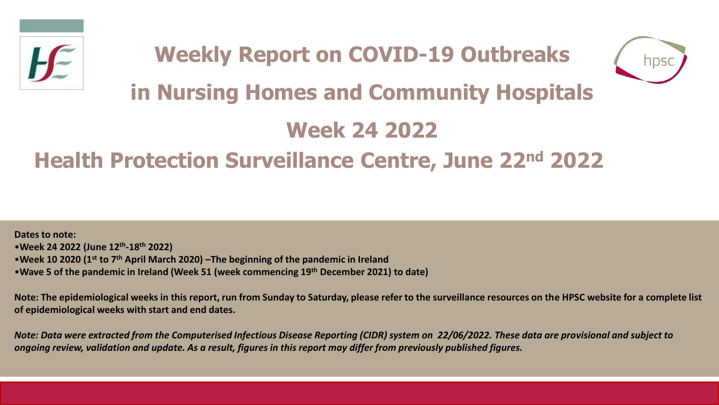



# **in Nursing Homes and Community Hospitals**

# **Week 24 2022**

# **Health Protection Surveillance Centre, June 22nd 2022**

**Dates to note:** •**Week 24 2022 (June 12th -18th 2022)** •**Week 10 2020 (1st to 7th April March 2020) –The beginning of the pandemic in Ireland**  •**Wave 5 of the pandemic in Ireland (Week 51 (week commencing 19th December 2021) to date)**

**Note: The epidemiological weeks in this report, run from Sunday to Saturday, please refer to the surveillance resources on the HPSC website for a complete list of epidemiological weeks with start and end dates.**

*Note: Data were extracted from the Computerised Infectious Disease Reporting (CIDR) system on 22/06/2022. These data are provisional and subject to ongoing review, validation and update. As a result, figures in this report may differ from previously published figures.*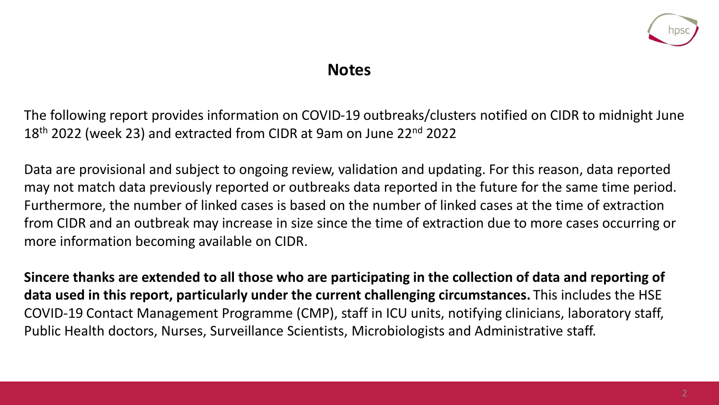

### **Notes**

The following report provides information on COVID-19 outbreaks/clusters notified on CIDR to midnight June 18<sup>th</sup> 2022 (week 23) and extracted from CIDR at 9am on June 22<sup>nd</sup> 2022

Data are provisional and subject to ongoing review, validation and updating. For this reason, data reported may not match data previously reported or outbreaks data reported in the future for the same time period. Furthermore, the number of linked cases is based on the number of linked cases at the time of extraction from CIDR and an outbreak may increase in size since the time of extraction due to more cases occurring or more information becoming available on CIDR.

**Sincere thanks are extended to all those who are participating in the collection of data and reporting of data used in this report, particularly under the current challenging circumstances.** This includes the HSE COVID-19 Contact Management Programme (CMP), staff in ICU units, notifying clinicians, laboratory staff, Public Health doctors, Nurses, Surveillance Scientists, Microbiologists and Administrative staff.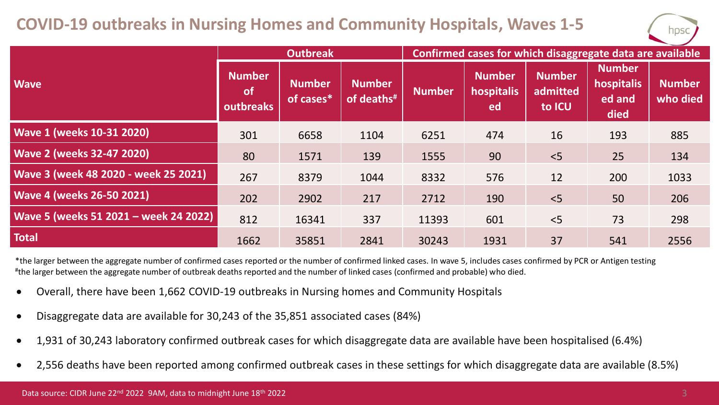### **COVID-19 outbreaks in Nursing Homes and Community Hospitals, Waves 1-5**



|                                       | <b>Outbreak</b>                         |                            |                                          | Confirmed cases for which disaggregate data are available |                                   |                                     |                                               |                           |
|---------------------------------------|-----------------------------------------|----------------------------|------------------------------------------|-----------------------------------------------------------|-----------------------------------|-------------------------------------|-----------------------------------------------|---------------------------|
| <b>Wave</b>                           | <b>Number</b><br><b>of</b><br>outbreaks | <b>Number</b><br>of cases* | <b>Number</b><br>of deaths <sup>#1</sup> | <b>Number</b>                                             | <b>Number</b><br>hospitalis<br>ed | <b>Number</b><br>admitted<br>to ICU | <b>Number</b><br>hospitalis<br>ed and<br>died | <b>Number</b><br>who died |
| <b>Wave 1 (weeks 10-31 2020)</b>      | 301                                     | 6658                       | 1104                                     | 6251                                                      | 474                               | 16                                  | 193                                           | 885                       |
| <b>Wave 2 (weeks 32-47 2020)</b>      | 80                                      | 1571                       | 139                                      | 1555                                                      | 90                                | < 5                                 | 25                                            | 134                       |
| Wave 3 (week 48 2020 - week 25 2021)  | 267                                     | 8379                       | 1044                                     | 8332                                                      | 576                               | 12                                  | 200                                           | 1033                      |
| <b>Wave 4 (weeks 26-50 2021)</b>      | 202                                     | 2902                       | 217                                      | 2712                                                      | 190                               | < 5                                 | 50                                            | 206                       |
| Wave 5 (weeks 51 2021 - week 24 2022) | 812                                     | 16341                      | 337                                      | 11393                                                     | 601                               | < 5                                 | 73                                            | 298                       |
| <b>Total</b>                          | 1662                                    | 35851                      | 2841                                     | 30243                                                     | 1931                              | 37                                  | 541                                           | 2556                      |

\*the larger between the aggregate number of confirmed cases reported or the number of confirmed linked cases. In wave 5, includes cases confirmed by PCR or Antigen testing # the larger between the aggregate number of outbreak deaths reported and the number of linked cases (confirmed and probable) who died.

- Overall, there have been 1,662 COVID-19 outbreaks in Nursing homes and Community Hospitals
- Disaggregate data are available for 30,243 of the 35,851 associated cases (84%)
- 1,931 of 30,243 laboratory confirmed outbreak cases for which disaggregate data are available have been hospitalised (6.4%)
- 2,556 deaths have been reported among confirmed outbreak cases in these settings for which disaggregate data are available (8.5%)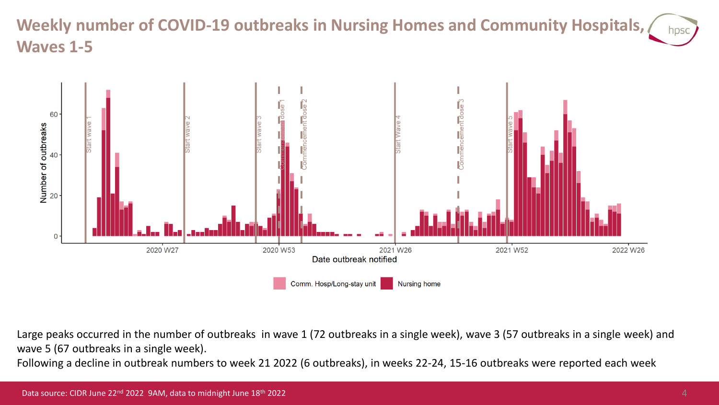## **Weekly number of COVID-19 outbreaks in Nursing Homes and Community Hospitals, Waves 1-5**



Large peaks occurred in the number of outbreaks in wave 1 (72 outbreaks in a single week), wave 3 (57 outbreaks in a single week) and wave 5 (67 outbreaks in a single week).

Following a decline in outbreak numbers to week 21 2022 (6 outbreaks), in weeks 22-24, 15-16 outbreaks were reported each week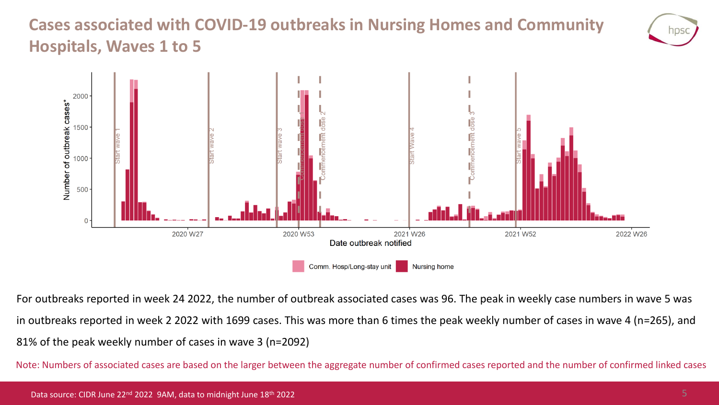## **Cases associated with COVID-19 outbreaks in Nursing Homes and Community Hospitals, Waves 1 to 5**





For outbreaks reported in week 24 2022, the number of outbreak associated cases was 96. The peak in weekly case numbers in wave 5 was in outbreaks reported in week 2 2022 with 1699 cases. This was more than 6 times the peak weekly number of cases in wave 4 (n=265), and 81% of the peak weekly number of cases in wave 3 (n=2092)

Note: Numbers of associated cases are based on the larger between the aggregate number of confirmed cases reported and the number of confirmed linked cases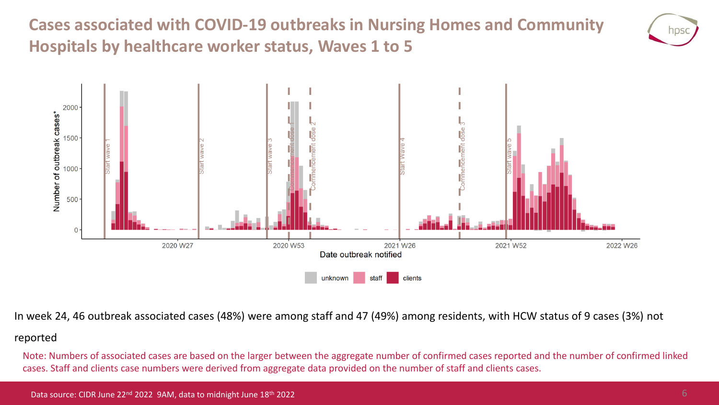**Cases associated with COVID-19 outbreaks in Nursing Homes and Community Hospitals by healthcare worker status, Waves 1 to 5**





In week 24, 46 outbreak associated cases (48%) were among staff and 47 (49%) among residents, with HCW status of 9 cases (3%) not

#### reported

Note: Numbers of associated cases are based on the larger between the aggregate number of confirmed cases reported and the number of confirmed linked cases. Staff and clients case numbers were derived from aggregate data provided on the number of staff and clients cases.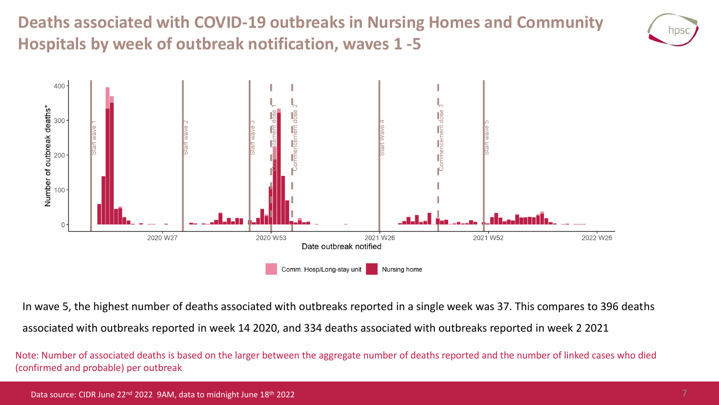**Deaths associated with COVID-19 outbreaks in Nursing Homes and Community Hospitals by week of outbreak notification, waves 1 -5**





In wave 5, the highest number of deaths associated with outbreaks reported in a single week was 37. This compares to 396 deaths associated with outbreaks reported in week 14 2020, and 334 deaths associated with outbreaks reported in week 2 2021

Note: Number of associated deaths is based on the larger between the aggregate number of deaths reported and the number of linked cases who died (confirmed and probable) per outbreak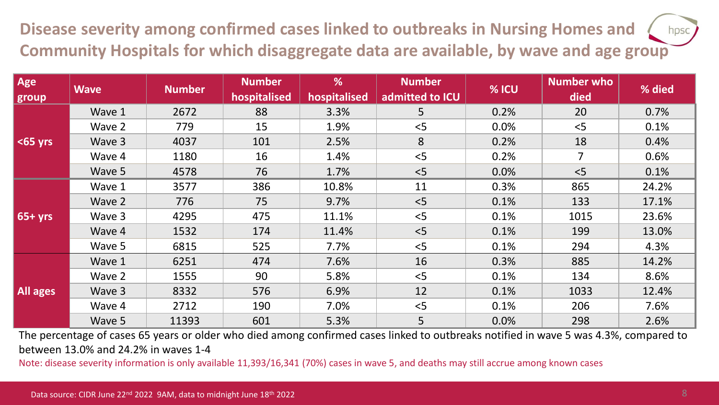**Disease severity among confirmed cases linked to outbreaks in Nursing Homes and**  hpsc **Community Hospitals for which disaggregate data are available, by wave and age group**

| Age             | <b>Wave</b> | <b>Number</b> | <b>Number</b> | %            | <b>Number</b>   | % ICU | <b>Number who</b> | % died |
|-----------------|-------------|---------------|---------------|--------------|-----------------|-------|-------------------|--------|
| group           |             |               | hospitalised  | hospitalised | admitted to ICU |       | died              |        |
| $65$ yrs        | Wave 1      | 2672          | 88            | 3.3%         | 5               | 0.2%  | 20                | 0.7%   |
|                 | Wave 2      | 779           | 15            | 1.9%         | < 5             | 0.0%  | < 5               | 0.1%   |
|                 | Wave 3      | 4037          | 101           | 2.5%         | 8               | 0.2%  | 18                | 0.4%   |
|                 | Wave 4      | 1180          | 16            | 1.4%         | < 5             | 0.2%  | $\overline{7}$    | 0.6%   |
|                 | Wave 5      | 4578          | 76            | 1.7%         | < 5             | 0.0%  | < 5               | 0.1%   |
| $65 + yrs$      | Wave 1      | 3577          | 386           | 10.8%        | 11              | 0.3%  | 865               | 24.2%  |
|                 | Wave 2      | 776           | 75            | 9.7%         | < 5             | 0.1%  | 133               | 17.1%  |
|                 | Wave 3      | 4295          | 475           | 11.1%        | < 5             | 0.1%  | 1015              | 23.6%  |
|                 | Wave 4      | 1532          | 174           | 11.4%        | < 5             | 0.1%  | 199               | 13.0%  |
|                 | Wave 5      | 6815          | 525           | 7.7%         | < 5             | 0.1%  | 294               | 4.3%   |
| <b>All ages</b> | Wave 1      | 6251          | 474           | 7.6%         | 16              | 0.3%  | 885               | 14.2%  |
|                 | Wave 2      | 1555          | 90            | 5.8%         | < 5             | 0.1%  | 134               | 8.6%   |
|                 | Wave 3      | 8332          | 576           | 6.9%         | 12              | 0.1%  | 1033              | 12.4%  |
|                 | Wave 4      | 2712          | 190           | 7.0%         | < 5             | 0.1%  | 206               | 7.6%   |
|                 | Wave 5      | 11393         | 601           | 5.3%         | 5               | 0.0%  | 298               | 2.6%   |

The percentage of cases 65 years or older who died among confirmed cases linked to outbreaks notified in wave 5 was 4.3%, compared to between 13.0% and 24.2% in waves 1-4

Note: disease severity information is only available 11,393/16,341 (70%) cases in wave 5, and deaths may still accrue among known cases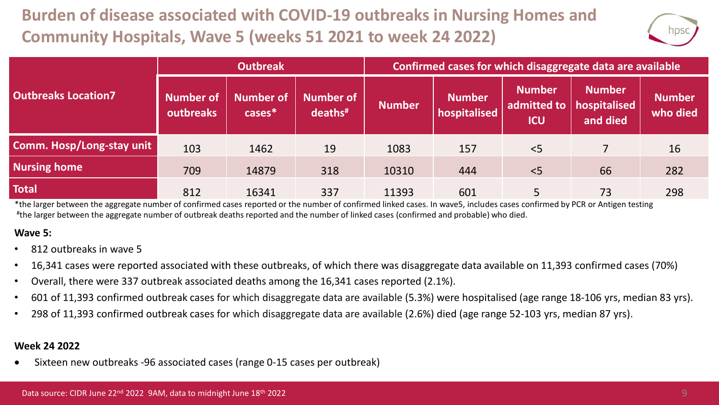# **Burden of disease associated with COVID-19 outbreaks in Nursing Homes and Community Hospitals, Wave 5 (weeks 51 2021 to week 24 2022)**



|                            |                               | <b>Outbreak</b>               |                                           | Confirmed cases for which disaggregate data are available |                               |                                            |                                           |                           |  |
|----------------------------|-------------------------------|-------------------------------|-------------------------------------------|-----------------------------------------------------------|-------------------------------|--------------------------------------------|-------------------------------------------|---------------------------|--|
| <b>Outbreaks Location7</b> | <b>Number of</b><br>outbreaks | <b>Number of</b><br>$cases^*$ | <b>Number of</b><br>$deaths$ <sup>#</sup> | <b>Number</b>                                             | <b>Number</b><br>hospitalised | <b>Number</b><br>admitted to<br><b>ICU</b> | <b>Number</b><br>hospitalised<br>and died | <b>Number</b><br>who died |  |
| Comm. Hosp/Long-stay unit  | 103                           | 1462                          | 19                                        | 1083                                                      | 157                           | $<$ 5                                      |                                           | 16                        |  |
| <b>Nursing home</b>        | 709                           | 14879                         | 318                                       | 10310                                                     | 444                           | $<$ 5                                      | 66                                        | 282                       |  |
| <b>Total</b>               | 812                           | 16341                         | 337                                       | 11393                                                     | 601                           | 5                                          | 73                                        | 298                       |  |

\*the larger between the aggregate number of confirmed cases reported or the number of confirmed linked cases. In wave5, includes cases confirmed by PCR or Antigen testing # the larger between the aggregate number of outbreak deaths reported and the number of linked cases (confirmed and probable) who died.

#### **Wave 5:**

- 812 outbreaks in wave 5
- 16,341 cases were reported associated with these outbreaks, of which there was disaggregate data available on 11,393 confirmed cases (70%)
- Overall, there were 337 outbreak associated deaths among the 16,341 cases reported (2.1%).
- 601 of 11,393 confirmed outbreak cases for which disaggregate data are available (5.3%) were hospitalised (age range 18-106 yrs, median 83 yrs).
- 298 of 11,393 confirmed outbreak cases for which disaggregate data are available (2.6%) died (age range 52-103 yrs, median 87 yrs).

#### **Week 24 2022**

• Sixteen new outbreaks -96 associated cases (range 0-15 cases per outbreak)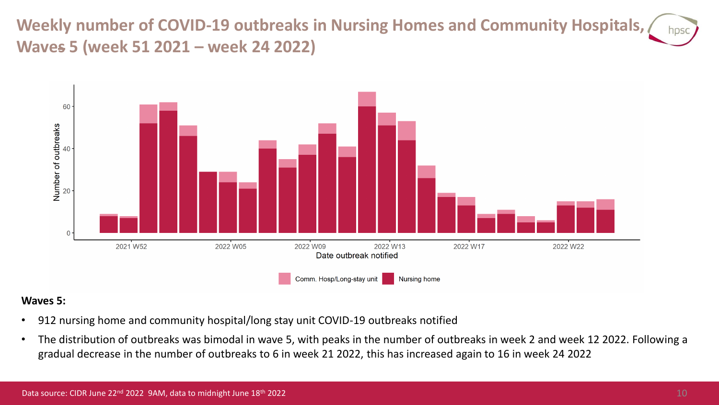**Weekly number of COVID-19 outbreaks in Nursing Homes and Community Hospitals, Waves 5 (week 51 2021 – week 24 2022)**



#### **Waves 5:**

- 912 nursing home and community hospital/long stay unit COVID-19 outbreaks notified
- The distribution of outbreaks was bimodal in wave 5, with peaks in the number of outbreaks in week 2 and week 12 2022. Following a gradual decrease in the number of outbreaks to 6 in week 21 2022, this has increased again to 16 in week 24 2022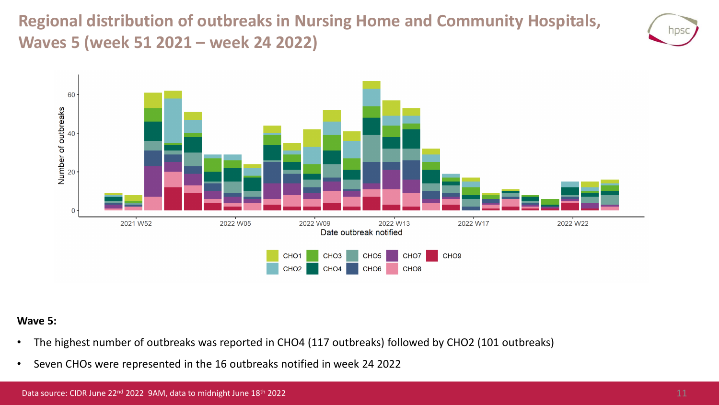**Regional distribution of outbreaks in Nursing Home and Community Hospitals, Waves 5 (week 51 2021 – week 24 2022)**





#### **Wave 5:**

- The highest number of outbreaks was reported in CHO4 (117 outbreaks) followed by CHO2 (101 outbreaks)
- Seven CHOs were represented in the 16 outbreaks notified in week 24 2022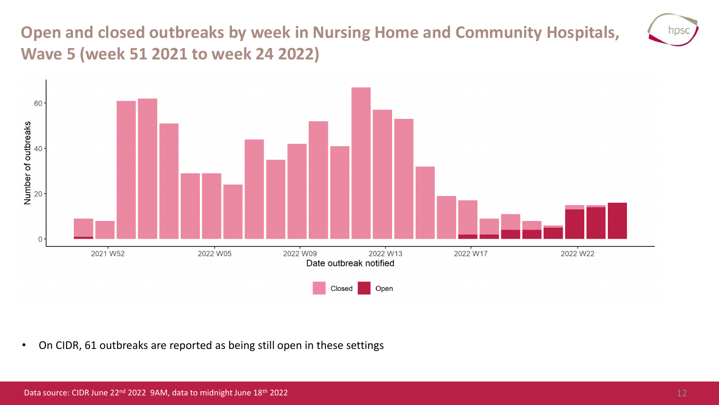## **Open and closed outbreaks by week in Nursing Home and Community Hospitals, Wave 5 (week 51 2021 to week 24 2022)**



• On CIDR, 61 outbreaks are reported as being still open in these settings

hps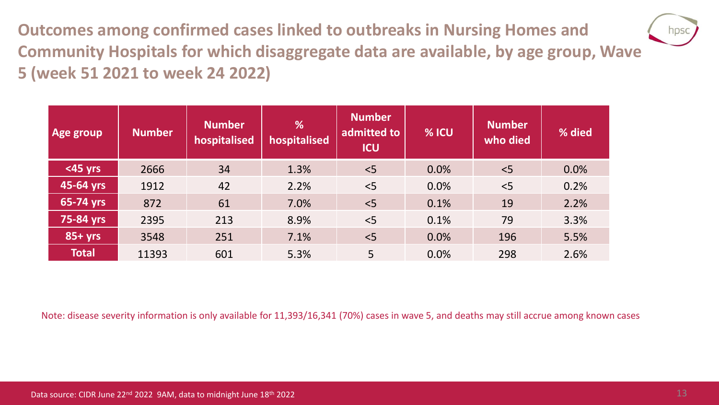**Outcomes among confirmed cases linked to outbreaks in Nursing Homes and Community Hospitals for which disaggregate data are available, by age group, Wave 5 (week 51 2021 to week 24 2022)**

| <b>Age group</b> | <b>Number</b> | <b>Number</b><br>hospitalised | %<br>hospitalised | <b>Number</b><br>admitted to<br><b>ICU</b> | % ICU | <b>Number</b><br>who died | % died |
|------------------|---------------|-------------------------------|-------------------|--------------------------------------------|-------|---------------------------|--------|
| $<$ 45 yrs       | 2666          | 34                            | 1.3%              | < 5                                        | 0.0%  | < 5                       | 0.0%   |
| 45-64 yrs        | 1912          | 42                            | 2.2%              | $<$ 5                                      | 0.0%  | < 5                       | 0.2%   |
| 65-74 yrs        | 872           | 61                            | 7.0%              | $\leq$                                     | 0.1%  | 19                        | 2.2%   |
| 75-84 yrs        | 2395          | 213                           | 8.9%              | < 5                                        | 0.1%  | 79                        | 3.3%   |
| $85+yrs$         | 3548          | 251                           | 7.1%              | $<$ 5                                      | 0.0%  | 196                       | 5.5%   |
| <b>Total</b>     | 11393         | 601                           | 5.3%              | 5                                          | 0.0%  | 298                       | 2.6%   |

Note: disease severity information is only available for 11,393/16,341 (70%) cases in wave 5, and deaths may still accrue among known cases

nps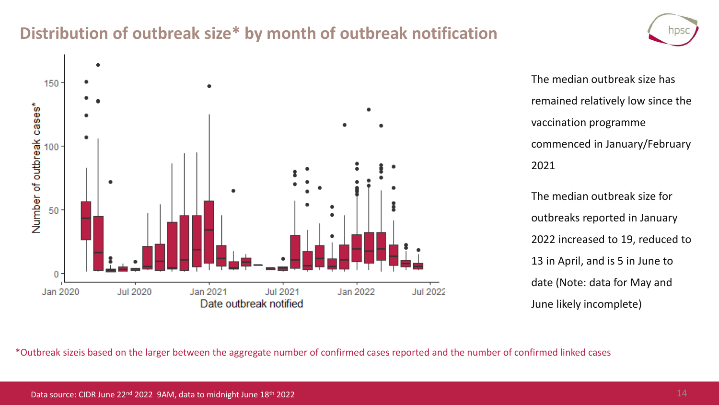### **Distribution of outbreak size\* by month of outbreak notification**



The median outbreak size has remained relatively low since the vaccination programme commenced in January/February 2021

The median outbreak size for outbreaks reported in January 2022 increased to 19, reduced to 13 in April, and is 5 in June to date (Note: data for May and June likely incomplete)

\*Outbreak sizeis based on the larger between the aggregate number of confirmed cases reported and the number of confirmed linked cases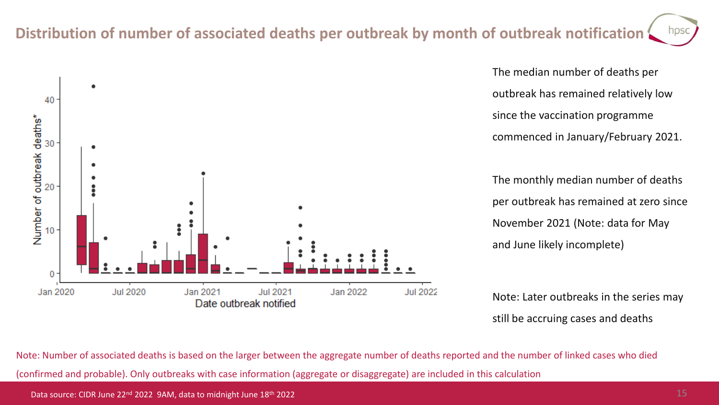### **Distribution of number of associated deaths per outbreak by month of outbreak notification**



The median number of deaths per outbreak has remained relatively low since the vaccination programme commenced in January/February 2021.

The monthly median number of deaths per outbreak has remained at zero since November 2021 (Note: data for May and June likely incomplete)

Note: Later outbreaks in the series may still be accruing cases and deaths

Note: Number of associated deaths is based on the larger between the aggregate number of deaths reported and the number of linked cases who died (confirmed and probable). Only outbreaks with case information (aggregate or disaggregate) are included in this calculation

Data source: CIDR June 22<sup>nd</sup> 2022 9AM, data to midnight June 18<sup>th</sup> 2022

**NDS**